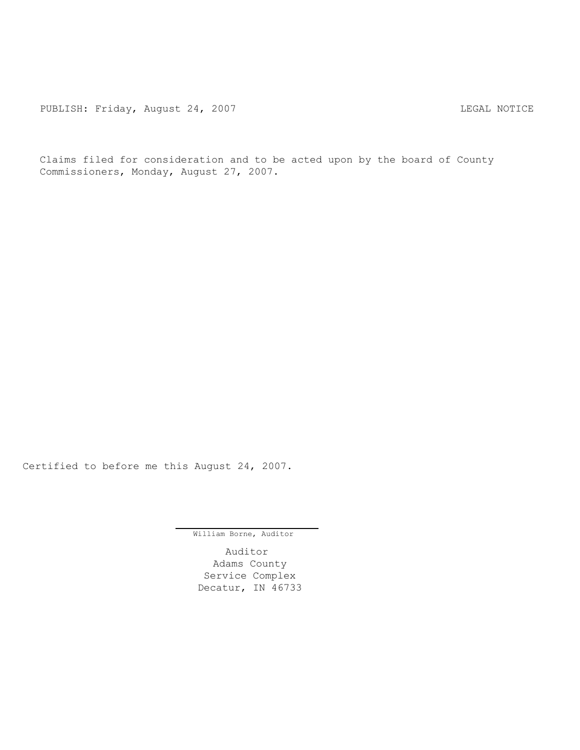PUBLISH: Friday, August 24, 2007 CHA CHARL MOTICE

Claims filed for consideration and to be acted upon by the board of County Commissioners, Monday, August 27, 2007.

Certified to before me this August 24, 2007.

William Borne, Auditor

Auditor Adams County Service Complex Decatur, IN 46733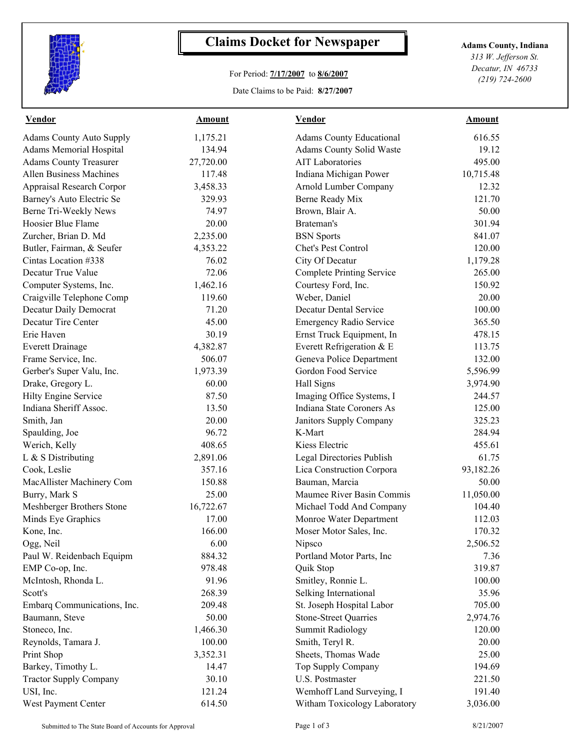

## **Claims Docket for Newspaper Adams County, Indiana**

## For Period: **7/17/2007** to **8/6/2007**

Date Claims to be Paid: **8/27/2007**

*313 W. Jefferson St. Decatur, IN 46733 (219) 724-2600*

| <b>Vendor</b>                   | Amount    | <b>Vendor</b>                    | <b>Amount</b> |  |
|---------------------------------|-----------|----------------------------------|---------------|--|
| <b>Adams County Auto Supply</b> | 1,175.21  | <b>Adams County Educational</b>  | 616.55        |  |
| <b>Adams Memorial Hospital</b>  | 134.94    | <b>Adams County Solid Waste</b>  | 19.12         |  |
| <b>Adams County Treasurer</b>   | 27,720.00 | <b>AIT Laboratories</b>          | 495.00        |  |
| <b>Allen Business Machines</b>  | 117.48    | Indiana Michigan Power           | 10,715.48     |  |
| Appraisal Research Corpor       | 3,458.33  | Arnold Lumber Company            | 12.32         |  |
| Barney's Auto Electric Se       | 329.93    | Berne Ready Mix                  | 121.70        |  |
| Berne Tri-Weekly News           | 74.97     | Brown, Blair A.                  | 50.00         |  |
| Hoosier Blue Flame              | 20.00     | Brateman's                       | 301.94        |  |
| Zurcher, Brian D. Md            | 2,235.00  | <b>BSN</b> Sports                | 841.07        |  |
| Butler, Fairman, & Seufer       | 4,353.22  | Chet's Pest Control              | 120.00        |  |
| Cintas Location #338            | 76.02     | City Of Decatur                  | 1,179.28      |  |
| Decatur True Value              | 72.06     | <b>Complete Printing Service</b> | 265.00        |  |
| Computer Systems, Inc.          | 1,462.16  | Courtesy Ford, Inc.              | 150.92        |  |
| Craigville Telephone Comp       | 119.60    | Weber, Daniel                    | 20.00         |  |
| Decatur Daily Democrat          | 71.20     | <b>Decatur Dental Service</b>    | 100.00        |  |
| Decatur Tire Center             | 45.00     | <b>Emergency Radio Service</b>   | 365.50        |  |
| Erie Haven                      | 30.19     | Ernst Truck Equipment, In        | 478.15        |  |
| <b>Everett Drainage</b>         | 4,382.87  | Everett Refrigeration & E        | 113.75        |  |
| Frame Service, Inc.             | 506.07    | Geneva Police Department         | 132.00        |  |
| Gerber's Super Valu, Inc.       | 1,973.39  | Gordon Food Service              | 5,596.99      |  |
| Drake, Gregory L.               | 60.00     | Hall Signs                       | 3,974.90      |  |
| Hilty Engine Service            | 87.50     | Imaging Office Systems, I        | 244.57        |  |
| Indiana Sheriff Assoc.          | 13.50     | Indiana State Coroners As        | 125.00        |  |
| Smith, Jan                      | 20.00     | <b>Janitors Supply Company</b>   | 325.23        |  |
| Spaulding, Joe                  | 96.72     | K-Mart                           | 284.94        |  |
| Werich, Kelly                   | 408.65    | Kiess Electric                   | 455.61        |  |
| $L & S$ Distributing            | 2,891.06  | Legal Directories Publish        | 61.75         |  |
| Cook, Leslie                    | 357.16    | Lica Construction Corpora        | 93,182.26     |  |
| MacAllister Machinery Com       | 150.88    | Bauman, Marcia                   | 50.00         |  |
| Burry, Mark S                   | 25.00     | Maumee River Basin Commis        | 11,050.00     |  |
| Meshberger Brothers Stone       | 16,722.67 | Michael Todd And Company         | 104.40        |  |
| Minds Eye Graphics              | 17.00     | Monroe Water Department          | 112.03        |  |
| Kone, Inc.                      | 166.00    | Moser Motor Sales, Inc.          | 170.32        |  |
| Ogg, Neil                       | 6.00      | Nipsco                           | 2,506.52      |  |
| Paul W. Reidenbach Equipm       | 884.32    | Portland Motor Parts, Inc        | 7.36          |  |
| EMP Co-op, Inc.                 | 978.48    | Quik Stop                        | 319.87        |  |
| McIntosh, Rhonda L.             | 91.96     | Smitley, Ronnie L.               | 100.00        |  |
| Scott's                         | 268.39    | Selking International            | 35.96         |  |
| Embarq Communications, Inc.     | 209.48    | St. Joseph Hospital Labor        | 705.00        |  |
| Baumann, Steve                  | 50.00     | <b>Stone-Street Quarries</b>     | 2,974.76      |  |
| Stoneco, Inc.                   | 1,466.30  | <b>Summit Radiology</b>          | 120.00        |  |
| Reynolds, Tamara J.             | 100.00    | Smith, Teryl R.                  | 20.00         |  |
| Print Shop                      | 3,352.31  | Sheets, Thomas Wade              | 25.00         |  |
| Barkey, Timothy L.              | 14.47     | Top Supply Company               | 194.69        |  |
| <b>Tractor Supply Company</b>   | 30.10     | U.S. Postmaster                  | 221.50        |  |
| USI, Inc.                       | 121.24    | Wemhoff Land Surveying, I        | 191.40        |  |
| West Payment Center             | 614.50    | Witham Toxicology Laboratory     | 3,036.00      |  |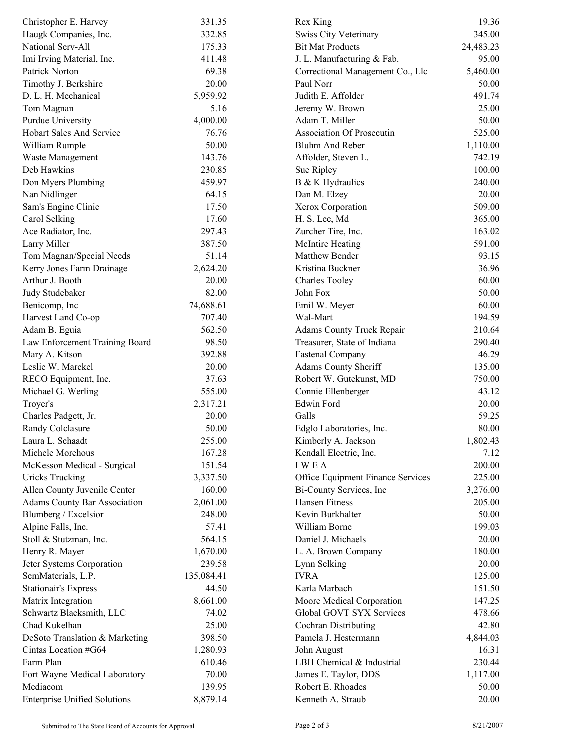| Christopher E. Harvey               | 331.35     | Rex King                          | 19.36           |  |
|-------------------------------------|------------|-----------------------------------|-----------------|--|
| Haugk Companies, Inc.               | 332.85     | Swiss City Veterinary             | 345.00          |  |
| National Serv-All                   | 175.33     | <b>Bit Mat Products</b>           | 24,483.23       |  |
| Imi Irving Material, Inc.           | 411.48     | J. L. Manufacturing & Fab.        | 95.00           |  |
| Patrick Norton                      | 69.38      | Correctional Management Co., Llc  | 5,460.00        |  |
| Timothy J. Berkshire                | 20.00      | Paul Norr                         | 50.00           |  |
| D. L. H. Mechanical                 | 5,959.92   | Judith E. Affolder                | 491.74          |  |
| Tom Magnan                          | 5.16       | Jeremy W. Brown                   | 25.00           |  |
| <b>Purdue University</b>            | 4,000.00   | Adam T. Miller                    | 50.00           |  |
| <b>Hobart Sales And Service</b>     | 76.76      | <b>Association Of Prosecutin</b>  | 525.00          |  |
| William Rumple                      | 50.00      | Bluhm And Reber                   | 1,110.00        |  |
| Waste Management                    | 143.76     | Affolder, Steven L.               | 742.19          |  |
| Deb Hawkins                         | 230.85     | Sue Ripley                        | 100.00          |  |
| Don Myers Plumbing                  | 459.97     | B & K Hydraulics                  | 240.00          |  |
| Nan Nidlinger                       | 64.15      | Dan M. Elzey                      | 20.00           |  |
| Sam's Engine Clinic                 | 17.50      | Xerox Corporation                 | 509.00          |  |
| Carol Selking                       | 17.60      | H. S. Lee, Md                     | 365.00          |  |
| Ace Radiator, Inc.                  | 297.43     | Zurcher Tire, Inc.                | 163.02          |  |
| Larry Miller                        | 387.50     | McIntire Heating                  | 591.00          |  |
| Tom Magnan/Special Needs            | 51.14      | Matthew Bender                    | 93.15           |  |
| Kerry Jones Farm Drainage           | 2,624.20   | Kristina Buckner                  | 36.96           |  |
| Arthur J. Booth                     | 20.00      | <b>Charles Tooley</b>             | 60.00           |  |
| Judy Studebaker                     | 82.00      | John Fox                          | 50.00           |  |
| Benicomp, Inc                       | 74,688.61  | Emil W. Meyer                     | 60.00           |  |
| Harvest Land Co-op                  | 707.40     | Wal-Mart                          | 194.59          |  |
| Adam B. Eguia                       | 562.50     | Adams County Truck Repair         | 210.64          |  |
| Law Enforcement Training Board      | 98.50      | Treasurer, State of Indiana       | 290.40          |  |
| Mary A. Kitson                      | 392.88     | <b>Fastenal Company</b>           | 46.29           |  |
| Leslie W. Marckel                   | 20.00      |                                   | 135.00          |  |
|                                     |            | Adams County Sheriff              |                 |  |
| RECO Equipment, Inc.                | 37.63      | Robert W. Gutekunst, MD           | 750.00<br>43.12 |  |
| Michael G. Werling                  | 555.00     | Connie Ellenberger<br>Edwin Ford  |                 |  |
| Troyer's                            | 2,317.21   |                                   | 20.00           |  |
| Charles Padgett, Jr.                | 20.00      | Galls                             | 59.25           |  |
| Randy Colclasure                    | 50.00      | Edglo Laboratories, Inc.          | 80.00           |  |
| Laura L. Schaadt                    | 255.00     | Kimberly A. Jackson               | 1,802.43        |  |
| Michele Morehous                    | 167.28     | Kendall Electric, Inc.            | 7.12            |  |
| McKesson Medical - Surgical         | 151.54     | <b>IWEA</b>                       | 200.00          |  |
| <b>Uricks Trucking</b>              | 3,337.50   | Office Equipment Finance Services | 225.00          |  |
| Allen County Juvenile Center        | 160.00     | Bi-County Services, Inc.          | 3,276.00        |  |
| <b>Adams County Bar Association</b> | 2,061.00   | Hansen Fitness                    | 205.00          |  |
| Blumberg / Excelsior                | 248.00     | Kevin Burkhalter                  | 50.00           |  |
| Alpine Falls, Inc.                  | 57.41      | William Borne                     | 199.03          |  |
| Stoll & Stutzman, Inc.              | 564.15     | Daniel J. Michaels                | 20.00           |  |
| Henry R. Mayer                      | 1,670.00   | L. A. Brown Company               | 180.00          |  |
| Jeter Systems Corporation           | 239.58     | Lynn Selking                      | 20.00           |  |
| SemMaterials, L.P.                  | 135,084.41 | <b>IVRA</b>                       | 125.00          |  |
| <b>Stationair's Express</b>         | 44.50      | Karla Marbach                     | 151.50          |  |
| Matrix Integration                  | 8,661.00   | Moore Medical Corporation         | 147.25          |  |
| Schwartz Blacksmith, LLC            | 74.02      | Global GOVT SYX Services          | 478.66          |  |
| Chad Kukelhan                       | 25.00      | Cochran Distributing              | 42.80           |  |
| DeSoto Translation & Marketing      | 398.50     | Pamela J. Hestermann              | 4,844.03        |  |
| Cintas Location #G64                | 1,280.93   | John August                       | 16.31           |  |
| Farm Plan                           | 610.46     | LBH Chemical & Industrial         | 230.44          |  |
| Fort Wayne Medical Laboratory       | 70.00      | James E. Taylor, DDS              | 1,117.00        |  |
| Mediacom                            | 139.95     | Robert E. Rhoades                 | 50.00           |  |
| <b>Enterprise Unified Solutions</b> | 8,879.14   | Kenneth A. Straub                 | 20.00           |  |